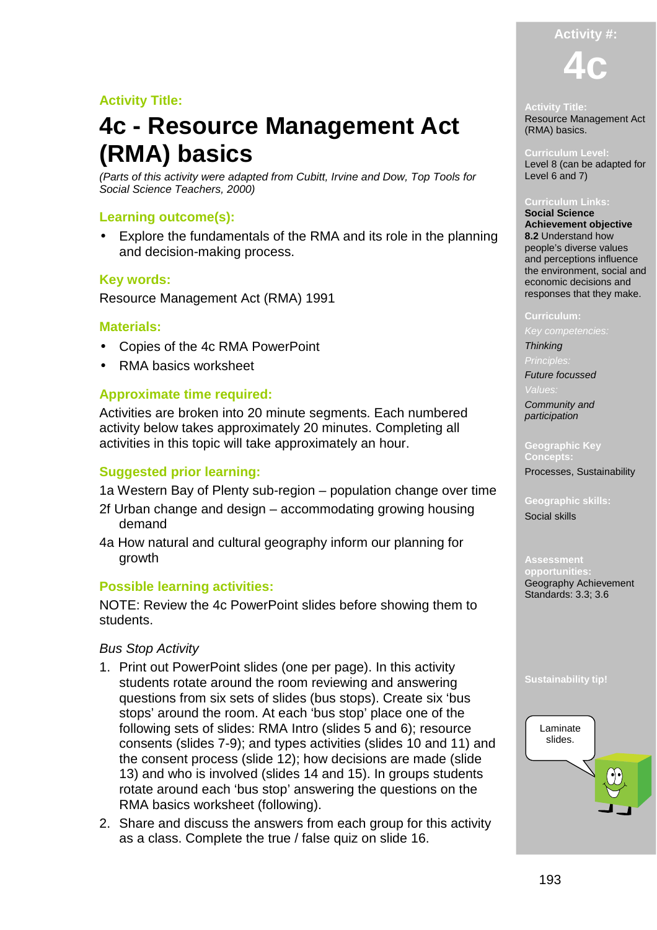# **Activity Title:**

# **4c - Resource Management Act (RMA) basics**

(Parts of this activity were adapted from Cubitt, Irvine and Dow, Top Tools for Social Science Teachers, 2000)

## **Learning outcome(s):**

• Explore the fundamentals of the RMA and its role in the planning and decision-making process.

### **Key words:**

Resource Management Act (RMA) 1991

### **Materials:**

- Copies of the 4c RMA PowerPoint
- RMA basics worksheet

### **Approximate time required:**

Activities are broken into 20 minute segments. Each numbered activity below takes approximately 20 minutes. Completing all activities in this topic will take approximately an hour.

### **Suggested prior learning:**

- 1a Western Bay of Plenty sub-region population change over time
- 2f Urban change and design accommodating growing housing demand
- 4a How natural and cultural geography inform our planning for growth

### **Possible learning activities:**

NOTE: Review the 4c PowerPoint slides before showing them to students.

### Bus Stop Activity

- 1. Print out PowerPoint slides (one per page). In this activity students rotate around the room reviewing and answering questions from six sets of slides (bus stops). Create six 'bus stops' around the room. At each 'bus stop' place one of the following sets of slides: RMA Intro (slides 5 and 6); resource consents (slides 7-9); and types activities (slides 10 and 11) and the consent process (slide 12); how decisions are made (slide 13) and who is involved (slides 14 and 15). In groups students rotate around each 'bus stop' answering the questions on the RMA basics worksheet (following).
- 2. Share and discuss the answers from each group for this activity as a class. Complete the true / false quiz on slide 16.

# **Activity #: 4c**

# **Activity Title:**

Resource Management Act (RMA) basics.

**Curriculum Level:**  Level 8 (can be adapted for Level 6 and 7)

#### **Curriculum Links:**

**Social Science Achievement objective 8.2** Understand how people's diverse values and perceptions influence the environment, social and economic decisions and responses that they make.

#### **Curriculum:**

### **Thinking**

Future focussed

Community and participation

**Geographic Key Concepts:** 

Processes, Sustainability

**Geographic skills:**  Social skills

**opportunit** Geography Achievement Standards: 3.3; 3.6

### **Sustainability tip!**